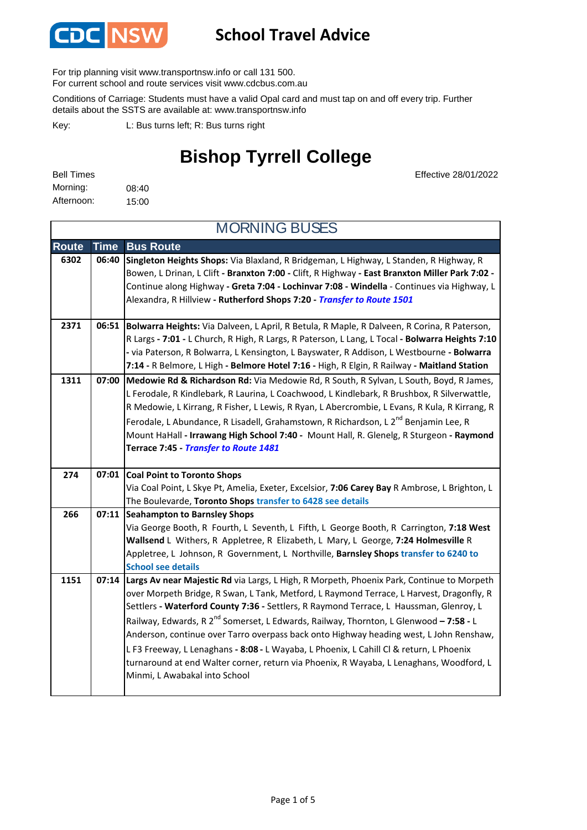

### **School Travel Advice**

For trip planning visit www.transportnsw.info or call 131 500.

For current school and route services visit www.cdcbus.com.au

Conditions of Carriage: Students must have a valid Opal card and must tap on and off every trip. Further details about the SSTS are available at: www.transportnsw.info

L: Bus turns left; R: Bus turns right Key:

## **Bishop Tyrrell College**

08:40 15:00 Morning: Bell Times Afternoon:

Effective 28/01/2022

| <b>MORNING BUSES</b> |             |                                                                                                                                                                                                                                                                                                                                                                                                                                                                                                                                                                                                                                                                                                             |  |
|----------------------|-------------|-------------------------------------------------------------------------------------------------------------------------------------------------------------------------------------------------------------------------------------------------------------------------------------------------------------------------------------------------------------------------------------------------------------------------------------------------------------------------------------------------------------------------------------------------------------------------------------------------------------------------------------------------------------------------------------------------------------|--|
| <b>Route</b>         | <b>Time</b> | <b>Bus Route</b>                                                                                                                                                                                                                                                                                                                                                                                                                                                                                                                                                                                                                                                                                            |  |
| 6302                 | 06:40       | Singleton Heights Shops: Via Blaxland, R Bridgeman, L Highway, L Standen, R Highway, R<br>Bowen, L Drinan, L Clift - Branxton 7:00 - Clift, R Highway - East Branxton Miller Park 7:02 -<br>Continue along Highway - Greta 7:04 - Lochinvar 7:08 - Windella - Continues via Highway, L<br>Alexandra, R Hillview - Rutherford Shops 7:20 - Transfer to Route 1501                                                                                                                                                                                                                                                                                                                                            |  |
| 2371                 |             | 06:51 Bolwarra Heights: Via Dalveen, L April, R Betula, R Maple, R Dalveen, R Corina, R Paterson,<br>R Largs - 7:01 - L Church, R High, R Largs, R Paterson, L Lang, L Tocal - Bolwarra Heights 7:10<br>- via Paterson, R Bolwarra, L Kensington, L Bayswater, R Addison, L Westbourne - Bolwarra<br>7:14 - R Belmore, L High - Belmore Hotel 7:16 - High, R Elgin, R Railway - Maitland Station                                                                                                                                                                                                                                                                                                            |  |
| 1311                 | 07:00       | Medowie Rd & Richardson Rd: Via Medowie Rd, R South, R Sylvan, L South, Boyd, R James,<br>L Ferodale, R Kindlebark, R Laurina, L Coachwood, L Kindlebark, R Brushbox, R Silverwattle,<br>R Medowie, L Kirrang, R Fisher, L Lewis, R Ryan, L Abercrombie, L Evans, R Kula, R Kirrang, R<br>Ferodale, L Abundance, R Lisadell, Grahamstown, R Richardson, L 2 <sup>nd</sup> Benjamin Lee, R<br>Mount HaHall - Irrawang High School 7:40 - Mount Hall, R. Glenelg, R Sturgeon - Raymond<br>Terrace 7:45 - Transfer to Route 1481                                                                                                                                                                               |  |
| 274                  |             | 07:01 Coal Point to Toronto Shops<br>Via Coal Point, L Skye Pt, Amelia, Exeter, Excelsior, 7:06 Carey Bay R Ambrose, L Brighton, L<br>The Boulevarde, Toronto Shops transfer to 6428 see details                                                                                                                                                                                                                                                                                                                                                                                                                                                                                                            |  |
| 266                  |             | 07:11 Seahampton to Barnsley Shops<br>Via George Booth, R Fourth, L Seventh, L Fifth, L George Booth, R Carrington, 7:18 West<br>Wallsend L Withers, R Appletree, R Elizabeth, L Mary, L George, 7:24 Holmesville R<br>Appletree, L Johnson, R Government, L Northville, Barnsley Shops transfer to 6240 to<br><b>School see details</b>                                                                                                                                                                                                                                                                                                                                                                    |  |
| 1151                 |             | 07:14 Largs Av near Majestic Rd via Largs, L High, R Morpeth, Phoenix Park, Continue to Morpeth<br>over Morpeth Bridge, R Swan, L Tank, Metford, L Raymond Terrace, L Harvest, Dragonfly, R<br>Settlers - Waterford County 7:36 - Settlers, R Raymond Terrace, L Haussman, Glenroy, L<br>Railway, Edwards, R 2 <sup>nd</sup> Somerset, L Edwards, Railway, Thornton, L Glenwood - 7:58 - L<br>Anderson, continue over Tarro overpass back onto Highway heading west, L John Renshaw,<br>L F3 Freeway, L Lenaghans - 8:08 - L Wayaba, L Phoenix, L Cahill Cl & return, L Phoenix<br>turnaround at end Walter corner, return via Phoenix, R Wayaba, L Lenaghans, Woodford, L<br>Minmi, L Awabakal into School |  |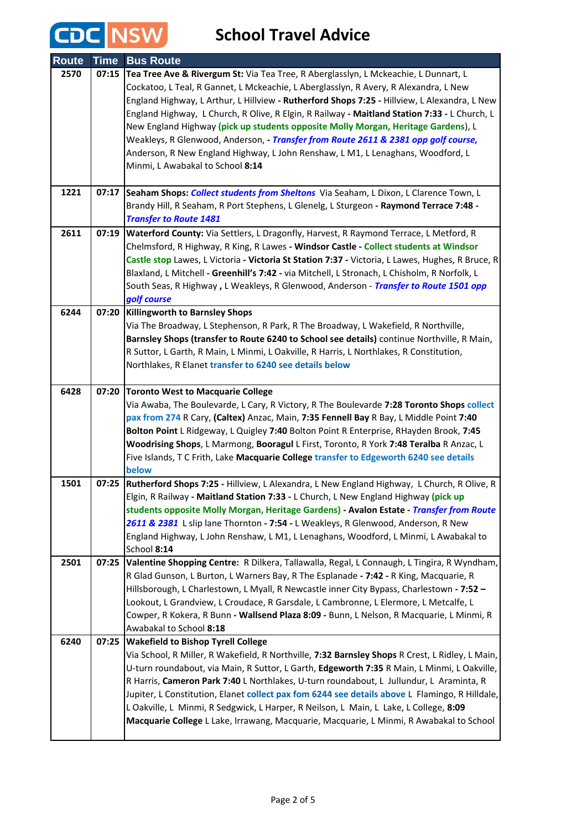CDC NSW

**School Travel Advice**

| <b>Route</b> | <b>Time</b> | <b>Bus Route</b>                                                                                                                                                                                                                                                                                                                                                                                                                                                                                                                                                                                                                                                              |
|--------------|-------------|-------------------------------------------------------------------------------------------------------------------------------------------------------------------------------------------------------------------------------------------------------------------------------------------------------------------------------------------------------------------------------------------------------------------------------------------------------------------------------------------------------------------------------------------------------------------------------------------------------------------------------------------------------------------------------|
| 2570         | 07:15       | Tea Tree Ave & Rivergum St: Via Tea Tree, R Aberglasslyn, L Mckeachie, L Dunnart, L<br>Cockatoo, L Teal, R Gannet, L Mckeachie, L Aberglasslyn, R Avery, R Alexandra, L New<br>England Highway, L Arthur, L Hillview - Rutherford Shops 7:25 - Hillview, L Alexandra, L New<br>England Highway, L Church, R Olive, R Elgin, R Railway - Maitland Station 7:33 - L Church, L<br>New England Highway (pick up students opposite Molly Morgan, Heritage Gardens), L<br>Weakleys, R Glenwood, Anderson, - Transfer from Route 2611 & 2381 opp golf course,<br>Anderson, R New England Highway, L John Renshaw, L M1, L Lenaghans, Woodford, L<br>Minmi, L Awabakal to School 8:14 |
| 1221         | 07:17       | Seaham Shops: Collect students from Sheltons Via Seaham, L Dixon, L Clarence Town, L<br>Brandy Hill, R Seaham, R Port Stephens, L Glenelg, L Sturgeon - Raymond Terrace 7:48 -<br><b>Transfer to Route 1481</b>                                                                                                                                                                                                                                                                                                                                                                                                                                                               |
| 2611         | 07:19       | Waterford County: Via Settlers, L Dragonfly, Harvest, R Raymond Terrace, L Metford, R<br>Chelmsford, R Highway, R King, R Lawes - Windsor Castle - Collect students at Windsor<br>Castle stop Lawes, L Victoria - Victoria St Station 7:37 - Victoria, L Lawes, Hughes, R Bruce, R<br>Blaxland, L Mitchell - Greenhill's 7:42 - via Mitchell, L Stronach, L Chisholm, R Norfolk, L<br>South Seas, R Highway, L Weakleys, R Glenwood, Anderson - Transfer to Route 1501 opp<br>golf course                                                                                                                                                                                     |
| 6244         |             | 07:20 Killingworth to Barnsley Shops<br>Via The Broadway, L Stephenson, R Park, R The Broadway, L Wakefield, R Northville,<br>Barnsley Shops (transfer to Route 6240 to School see details) continue Northville, R Main,<br>R Suttor, L Garth, R Main, L Minmi, L Oakville, R Harris, L Northlakes, R Constitution,<br>Northlakes, R Elanet transfer to 6240 see details below                                                                                                                                                                                                                                                                                                |
| 6428         | 07:20       | <b>Toronto West to Macquarie College</b><br>Via Awaba, The Boulevarde, L Cary, R Victory, R The Boulevarde 7:28 Toronto Shops collect<br>pax from 274 R Cary, (Caltex) Anzac, Main, 7:35 Fennell Bay R Bay, L Middle Point 7:40<br>Bolton Point L Ridgeway, L Quigley 7:40 Bolton Point R Enterprise, RHayden Brook, 7:45<br>Woodrising Shops, L Marmong, Booragul L First, Toronto, R York 7:48 Teralba R Anzac, L<br>Five Islands, T C Frith, Lake Macquarie College transfer to Edgeworth 6240 see details<br>below                                                                                                                                                        |
| 1501         | 07:25       | Rutherford Shops 7:25 - Hillview, L Alexandra, L New England Highway, L Church, R Olive, R<br>Elgin, R Railway - Maitland Station 7:33 - L Church, L New England Highway (pick up<br>students opposite Molly Morgan, Heritage Gardens) - Avalon Estate - Transfer from Route<br>2611 & 2381 L slip lane Thornton - 7:54 - L Weakleys, R Glenwood, Anderson, R New<br>England Highway, L John Renshaw, L M1, L Lenaghans, Woodford, L Minmi, L Awabakal to<br>School 8:14                                                                                                                                                                                                      |
| 2501         | 07:25       | Valentine Shopping Centre: R Dilkera, Tallawalla, Regal, L Connaugh, L Tingira, R Wyndham,<br>R Glad Gunson, L Burton, L Warners Bay, R The Esplanade - 7:42 - R King, Macquarie, R<br>Hillsborough, L Charlestown, L Myall, R Newcastle inner City Bypass, Charlestown - 7:52 -<br>Lookout, L Grandview, L Croudace, R Garsdale, L Cambronne, L Elermore, L Metcalfe, L<br>Cowper, R Kokera, R Bunn - Wallsend Plaza 8:09 - Bunn, L Nelson, R Macquarie, L Minmi, R<br>Awabakal to School 8:18                                                                                                                                                                               |
| 6240         | 07:25       | <b>Wakefield to Bishop Tyrell College</b><br>Via School, R Miller, R Wakefield, R Northville, 7:32 Barnsley Shops R Crest, L Ridley, L Main,<br>U-turn roundabout, via Main, R Suttor, L Garth, Edgeworth 7:35 R Main, L Minmi, L Oakville,<br>R Harris, Cameron Park 7:40 L Northlakes, U-turn roundabout, L Jullundur, L Araminta, R<br>Jupiter, L Constitution, Elanet collect pax fom 6244 see details above L Flamingo, R Hilldale,<br>L Oakville, L Minmi, R Sedgwick, L Harper, R Neilson, L Main, L Lake, L College, 8:09<br>Macquarie College L Lake, Irrawang, Macquarie, Macquarie, L Minmi, R Awabakal to School                                                  |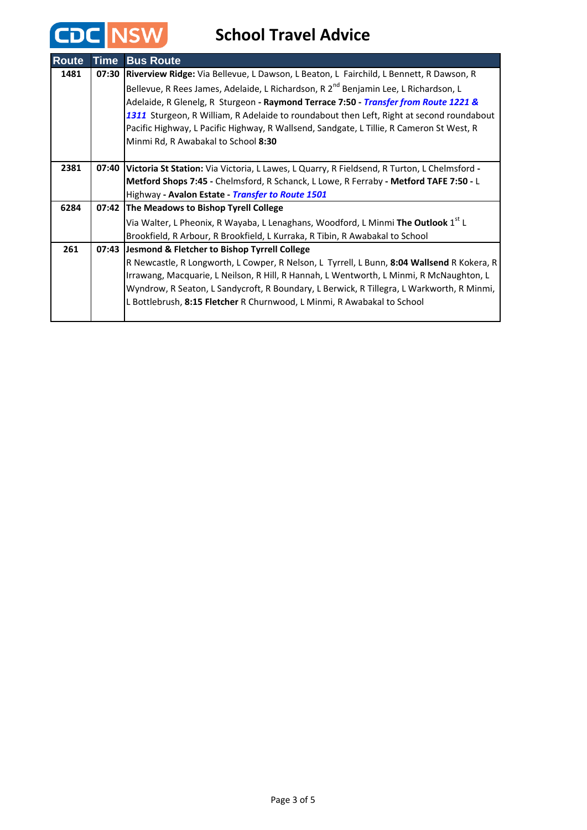CDC NSW

**School Travel Advice**

| <b>Route</b> | <b>Time</b> | <b>Bus Route</b>                                                                                  |
|--------------|-------------|---------------------------------------------------------------------------------------------------|
| 1481         | 07:30       | Riverview Ridge: Via Bellevue, L Dawson, L Beaton, L Fairchild, L Bennett, R Dawson, R            |
|              |             | Bellevue, R Rees James, Adelaide, L Richardson, R 2 <sup>nd</sup> Benjamin Lee, L Richardson, L   |
|              |             | Adelaide, R Glenelg, R Sturgeon - Raymond Terrace 7:50 - <i>Transfer from Route 1221 &amp;</i>    |
|              |             | 1311 Sturgeon, R William, R Adelaide to roundabout then Left, Right at second roundabout          |
|              |             | Pacific Highway, L Pacific Highway, R Wallsend, Sandgate, L Tillie, R Cameron St West, R          |
|              |             | Minmi Rd, R Awabakal to School 8:30                                                               |
|              |             |                                                                                                   |
| 2381         |             | 07:40 Victoria St Station: Via Victoria, L Lawes, L Quarry, R Fieldsend, R Turton, L Chelmsford - |
|              |             | Metford Shops 7:45 - Chelmsford, R Schanck, L Lowe, R Ferraby - Metford TAFE 7:50 - L             |
|              |             | Highway - Avalon Estate - Transfer to Route 1501                                                  |
| 6284         |             | 07:42 The Meadows to Bishop Tyrell College                                                        |
|              |             | Via Walter, L Pheonix, R Wayaba, L Lenaghans, Woodford, L Minmi The Outlook 1st L                 |
|              |             | Brookfield, R Arbour, R Brookfield, L Kurraka, R Tibin, R Awabakal to School                      |
| 261          |             | 07:43 Jesmond & Fletcher to Bishop Tyrrell College                                                |
|              |             | R Newcastle, R Longworth, L Cowper, R Nelson, L Tyrrell, L Bunn, 8:04 Wallsend R Kokera, R        |
|              |             | Irrawang, Macquarie, L Neilson, R Hill, R Hannah, L Wentworth, L Minmi, R McNaughton, L           |
|              |             | Wyndrow, R Seaton, L Sandycroft, R Boundary, L Berwick, R Tillegra, L Warkworth, R Minmi,         |
|              |             | L Bottlebrush, 8:15 Fletcher R Churnwood, L Minmi, R Awabakal to School                           |
|              |             |                                                                                                   |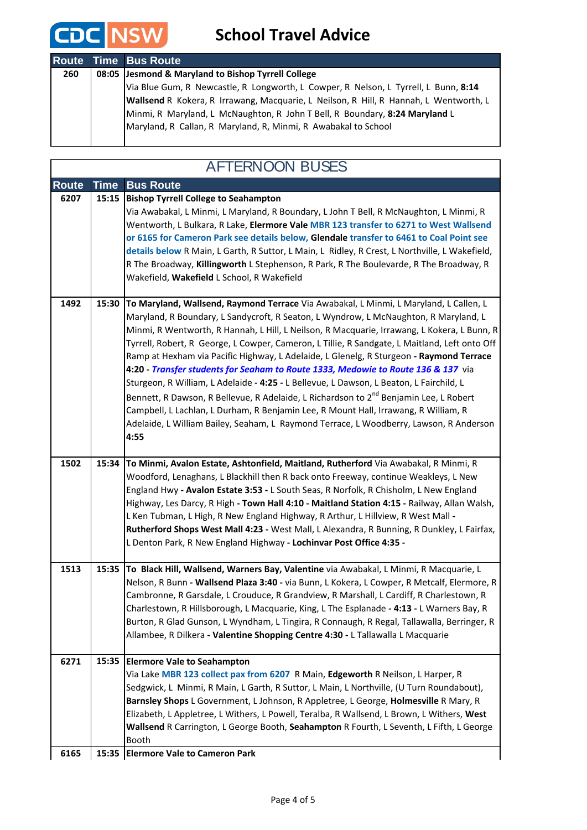

### **School Travel Advice**

|     | <b>Route Time Bus Route</b>                                                           |
|-----|---------------------------------------------------------------------------------------|
| 260 | 08:05 Jesmond & Maryland to Bishop Tyrrell College                                    |
|     | Via Blue Gum, R Newcastle, R Longworth, L Cowper, R Nelson, L Tyrrell, L Bunn, 8:14   |
|     | Wallsend R Kokera, R Irrawang, Macquarie, L Neilson, R Hill, R Hannah, L Wentworth, L |
|     | Minmi, R Maryland, L McNaughton, R John T Bell, R Boundary, 8:24 Maryland L           |
|     | Maryland, R Callan, R Maryland, R, Minmi, R Awabakal to School                        |
|     |                                                                                       |

#### **Route Time Bus Route Bishop Tyrrell College to Seahampton** Via Awabakal, L Minmi, L Maryland, R Boundary, L John T Bell, R McNaughton, L Minmi, R Wentworth, L Bulkara, R Lake, **Elermore Vale MBR 123 transfer to 6271 to West Wallsend or 6165 for Cameron Park see details below, Glendale transfer to 6461 to Coal Point see details below** R Main, L Garth, R Suttor, L Main, L Ridley, R Crest, L Northville, L Wakefield, R The Broadway, **Killingworth** L Stephenson, R Park, R The Boulevarde, R The Broadway, R Wakefield, **Wakefield** L School, R Wakefield **1492 15:30 To Maryland, Wallsend, Raymond Terrace** Via Awabakal, L Minmi, L Maryland, L Callen, L Maryland, R Boundary, L Sandycroft, R Seaton, L Wyndrow, L McNaughton, R Maryland, L Minmi, R Wentworth, R Hannah, L Hill, L Neilson, R Macquarie, Irrawang, L Kokera, L Bunn, R Tyrrell, Robert, R George, L Cowper, Cameron, L Tillie, R Sandgate, L Maitland, Left onto Off Ramp at Hexham via Pacific Highway, L Adelaide, L Glenelg, R Sturgeon **- Raymond Terrace 4:20 -** *Transfer students for Seaham to Route 1333, Medowie to Route 136 & 137* via Sturgeon, R William, L Adelaide **- 4:25 -** L Bellevue, L Dawson, L Beaton, L Fairchild, L Bennett, R Dawson, R Bellevue, R Adelaide, L Richardson to 2<sup>nd</sup> Benjamin Lee, L Robert Campbell, L Lachlan, L Durham, R Benjamin Lee, R Mount Hall, Irrawang, R William, R Adelaide, L William Bailey, Seaham, L Raymond Terrace, L Woodberry, Lawson, R Anderson **4:55 1502 15:34 To Minmi, Avalon Estate, Ashtonfield, Maitland, Rutherford** Via Awabakal, R Minmi, R Woodford, Lenaghans, L Blackhill then R back onto Freeway, continue Weakleys, L New England Hwy **- Avalon Estate 3:53 -** L South Seas, R Norfolk, R Chisholm, L New England Highway, Les Darcy, R High **- Town Hall 4:10 - Maitland Station 4:15 -** Railway, Allan Walsh, L Ken Tubman, L High, R New England Highway, R Arthur, L Hillview, R West Mall **- Rutherford Shops West Mall 4:23 -** West Mall, L Alexandra, R Bunning, R Dunkley, L Fairfax, L Denton Park, R New England Highway **- Lochinvar Post Office 4:35 - 1513 15:35 To Black Hill, Wallsend, Warners Bay, Valentine** via Awabakal, L Minmi, R Macquarie, L Nelson, R Bunn **- Wallsend Plaza 3:40 -** via Bunn, L Kokera, L Cowper, R Metcalf, Elermore, R Cambronne, R Garsdale, L Crouduce, R Grandview, R Marshall, L Cardiff, R Charlestown, R Charlestown, R Hillsborough, L Macquarie, King, L The Esplanade **- 4:13 -** L Warners Bay, R Burton, R Glad Gunson, L Wyndham, L Tingira, R Connaugh, R Regal, Tallawalla, Berringer, R Allambee, R Dilkera **- Valentine Shopping Centre 4:30 -** L Tallawalla L Macquarie **Elermore Vale to Seahampton 6271 15:35** Via Lake **MBR 123 collect pax from 6207** R Main, **Edgeworth** R Neilson, L Harper, R Sedgwick, L Minmi, R Main, L Garth, R Suttor, L Main, L Northville, (U Turn Roundabout), **Barnsley Shops** L Government, L Johnson, R Appletree, L George, **Holmesville** R Mary, R Elizabeth, L Appletree, L Withers, L Powell, Teralba, R Wallsend, L Brown, L Withers, **West Wallsend** R Carrington, L George Booth, **Seahampton** R Fourth, L Seventh, L Fifth, L George Booth **6207 15:15** AFTERNOON BUSES